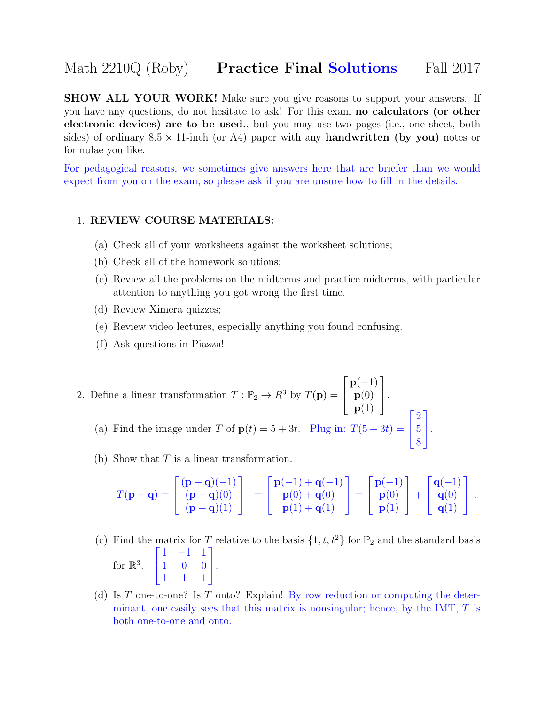## Math 2210Q (Roby) **Practice Final Solutions** Fall 2017

**SHOW ALL YOUR WORK!** Make sure you give reasons to support your answers. If you have any questions, do not hesitate to ask! For this exam no calculators (or other electronic devices) are to be used., but you may use two pages (i.e., one sheet, both sides) of ordinary  $8.5 \times 11$ -inch (or A4) paper with any **handwritten (by you)** notes or formulae you like.

For pedagogical reasons, we sometimes give answers here that are briefer than we would expect from you on the exam, so please ask if you are unsure how to fill in the details.

## 1. REVIEW COURSE MATERIALS:

- (a) Check all of your worksheets against the worksheet solutions;
- (b) Check all of the homework solutions;
- (c) Review all the problems on the midterms and practice midterms, with particular attention to anything you got wrong the first time.
- (d) Review Ximera quizzes;
- (e) Review video lectures, especially anything you found confusing.
- (f) Ask questions in Piazza!
- 2. Define a linear transformation  $T : \mathbb{P}_2 \to \mathbb{R}^3$  by  $T(\mathbf{p}) =$  $\lceil$  $\overline{1}$  $p(-1)$  $\mathbf{p}(0)$  $\mathbf{p}(1)$ 1  $\vert \cdot$ (a) Find the image under T of  $p(t) = 5 + 3t$ . Plug in:  $T(5 + 3t) =$  $\Gamma$  $\mathbf{I}$ 2 5 8 1  $\vert \cdot$ 
	- (b) Show that  $T$  is a linear transformation.

$$
T(\mathbf{p}+\mathbf{q}) = \begin{bmatrix} (\mathbf{p}+\mathbf{q})(-1) \\ (\mathbf{p}+\mathbf{q})(0) \\ (\mathbf{p}+\mathbf{q})(1) \end{bmatrix} = \begin{bmatrix} \mathbf{p}(-1) + \mathbf{q}(-1) \\ \mathbf{p}(0) + \mathbf{q}(0) \\ \mathbf{p}(1) + \mathbf{q}(1) \end{bmatrix} = \begin{bmatrix} \mathbf{p}(-1) \\ \mathbf{p}(0) \\ \mathbf{p}(1) \end{bmatrix} + \begin{bmatrix} \mathbf{q}(-1) \\ \mathbf{q}(0) \\ \mathbf{q}(1) \end{bmatrix}.
$$

- (c) Find the matrix for T relative to the basis  $\{1, t, t^2\}$  for  $\mathbb{P}_2$  and the standard basis for  $\mathbb{R}^3$ .  $\sqrt{ }$  $\mathbf{I}$ 1 −1 1 1 0 0 1 1 1 1  $\vert \cdot$
- (d) Is T one-to-one? Is T onto? Explain! By row reduction or computing the determinant, one easily sees that this matrix is nonsingular; hence, by the IMT,  $T$  is both one-to-one and onto.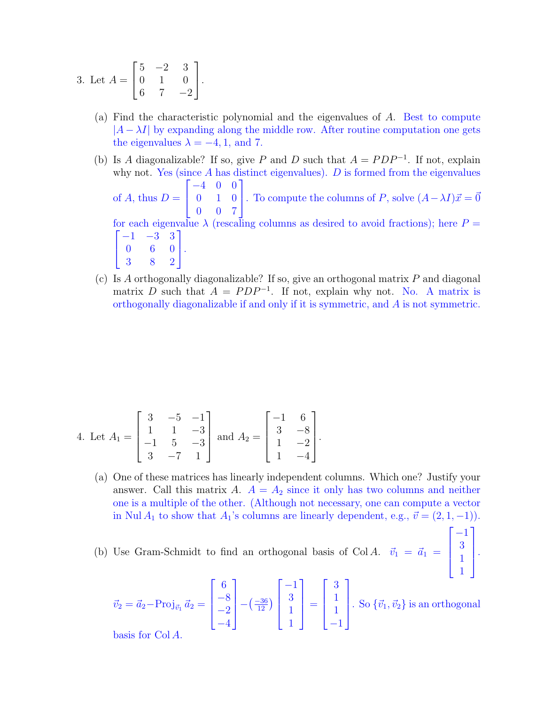3. Let 
$$
A = \begin{bmatrix} 5 & -2 & 3 \\ 0 & 1 & 0 \\ 6 & 7 & -2 \end{bmatrix}
$$
.

- (a) Find the characteristic polynomial and the eigenvalues of A. Best to compute  $|A - \lambda I|$  by expanding along the middle row. After routine computation one gets the eigenvalues  $\lambda = -4, 1,$  and 7.
- (b) Is A diagonalizable? If so, give P and D such that  $A = PDP^{-1}$ . If not, explain why not. Yes (since  $A$  has distinct eigenvalues).  $D$  is formed from the eigenvalues of A, thus  $D =$  $\sqrt{ }$  $\mathbf{I}$ −4 0 0 0 1 0 0 0 7 1 . To compute the columns of P, solve  $(A - \lambda I)\vec{x} = \vec{0}$ for each eigenvalue  $\lambda$  (rescaling columns as desired to avoid fractions); here  $P =$  $\sqrt{ }$  $\overline{\phantom{a}}$  $-1$   $-3$  3 0 6 0 3 8 2 1  $\vert \cdot$
- (c) Is A orthogonally diagonalizable? If so, give an orthogonal matrix P and diagonal matrix D such that  $A = PDP^{-1}$ . If not, explain why not. No. A matrix is orthogonally diagonalizable if and only if it is symmetric, and A is not symmetric.

4. Let 
$$
A_1 = \begin{bmatrix} 3 & -5 & -1 \\ 1 & 1 & -3 \\ -1 & 5 & -3 \\ 3 & -7 & 1 \end{bmatrix}
$$
 and  $A_2 = \begin{bmatrix} -1 & 6 \\ 3 & -8 \\ 1 & -2 \\ 1 & -4 \end{bmatrix}$ .

(a) One of these matrices has linearly independent columns. Which one? Justify your answer. Call this matrix A.  $A = A_2$  since it only has two columns and neither one is a multiple of the other. (Although not necessary, one can compute a vector in Nul  $A_1$  to show that  $A_1$ 's columns are linearly dependent, e.g.,  $\vec{v} = (2, 1, -1)$ ).

 $\sqrt{ }$ 

1

 .

(b) Use Gram-Schmidt to find an orthogonal basis of Col A.  $\vec{v}_1 = \vec{a}_1$ 

$$
\vec{v}_2 = \vec{a}_2 - \text{Proj}_{\vec{v}_1} \vec{a}_2 = \begin{bmatrix} 6\\ -8\\ -2\\ -4 \end{bmatrix} - \left(\frac{-36}{12}\right) \begin{bmatrix} -1\\ 3\\ 1\\ 1 \end{bmatrix} = \begin{bmatrix} 3\\ 1\\ 1\\ -1 \end{bmatrix}.
$$
 So \$\{\vec{v}\_1, \vec{v}\_2\}\$ is an orthogonal basis for Col A

basis for Col A.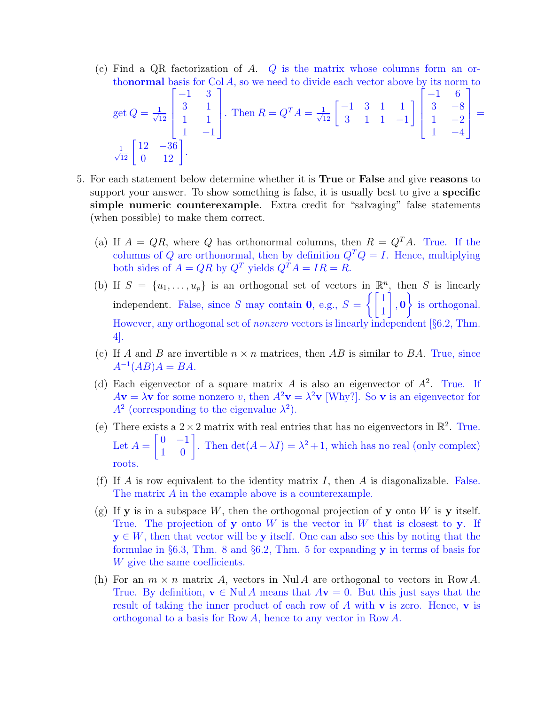(c) Find a QR factorization of A.  $Q$  is the matrix whose columns form an orthonormal basis for  $Col A$ , so we need to divide each vector above by its norm to

get 
$$
Q = \frac{1}{\sqrt{12}}\begin{bmatrix} -1 & 3 \\ 3 & 1 \\ 1 & 1 \\ 1 & -1 \end{bmatrix}
$$
. Then  $R = Q^T A = \frac{1}{\sqrt{12}}\begin{bmatrix} -1 & 3 & 1 & 1 \\ 3 & 1 & 1 & -1 \\ 3 & 1 & 1 & -1 \end{bmatrix}\begin{bmatrix} -1 & 6 \\ 3 & -8 \\ 1 & -2 \\ 1 & -4 \end{bmatrix} = \frac{1}{\sqrt{12}}\begin{bmatrix} 12 & -36 \\ 0 & 12 \end{bmatrix}$ .

- 5. For each statement below determine whether it is True or False and give reasons to support your answer. To show something is false, it is usually best to give a **specific** simple numeric counterexample. Extra credit for "salvaging" false statements (when possible) to make them correct.
	- (a) If  $A = QR$ , where Q has orthonormal columns, then  $R = Q<sup>T</sup>A$ . True. If the columns of Q are orthonormal, then by definition  $Q^T Q = I$ . Hence, multiplying both sides of  $A = QR$  by  $Q^T$  yields  $Q^T A = IR = R$ .
	- (b) If  $S = \{u_1, \ldots, u_p\}$  is an orthogonal set of vectors in  $\mathbb{R}^n$ , then S is linearly independent. False, since S may contain **0**, e.g.,  $S = \begin{cases} 1 & 1 \\ 1 & 1 \end{cases}$ 1 1  $, 0$  $\mathcal{L}$ is orthogonal. However, any orthogonal set of nonzero vectors is linearly independent [§6.2, Thm. 4].
	- (c) If A and B are invertible  $n \times n$  matrices, then AB is similar to BA. True, since  $A^{-1}(AB)A = BA.$
	- (d) Each eigenvector of a square matrix A is also an eigenvector of  $A<sup>2</sup>$ . True. If  $A\mathbf{v} = \lambda \mathbf{v}$  for some nonzero v, then  $A^2\mathbf{v} = \lambda^2 \mathbf{v}$  [Why?]. So v is an eigenvector for  $A<sup>2</sup>$  (corresponding to the eigenvalue  $\lambda<sup>2</sup>$ ).
	- (e) There exists a  $2 \times 2$  matrix with real entries that has no eigenvectors in  $\mathbb{R}^2$ . True. Let  $A =$  $\begin{bmatrix} 0 & -1 \\ 1 & 0 \end{bmatrix}$ . Then  $\det(A - \lambda I) = \lambda^2 + 1$ , which has no real (only complex) roots.
	- (f) If A is row equivalent to the identity matrix I, then A is diagonalizable. False. The matrix A in the example above is a counterexample.
	- $(g)$  If y is in a subspace W, then the orthogonal projection of y onto W is y itself. True. The projection of **y** onto  $W$  is the vector in  $W$  that is closest to **y**. If  $y \in W$ , then that vector will be y itself. One can also see this by noting that the formulae in §6.3, Thm. 8 and §6.2, Thm. 5 for expanding y in terms of basis for W give the same coefficients.
	- (h) For an  $m \times n$  matrix A, vectors in Nul A are orthogonal to vectors in Row A. True. By definition,  $\mathbf{v} \in \text{Nul } A$  means that  $A\mathbf{v} = 0$ . But this just says that the result of taking the inner product of each row of  $A$  with  $\bf{v}$  is zero. Hence,  $\bf{v}$  is orthogonal to a basis for Row A, hence to any vector in Row A.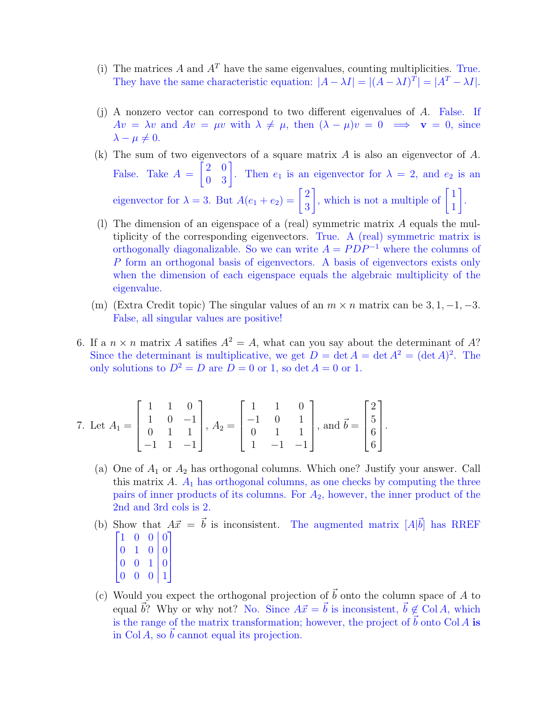- (i) The matrices A and  $A<sup>T</sup>$  have the same eigenvalues, counting multiplicities. True. They have the same characteristic equation:  $|A - \lambda I| = |(A - \lambda I)^{T}| = |A^{T} - \lambda I|$ .
- (j) A nonzero vector can correspond to two different eigenvalues of A. False. If  $Av = \lambda v$  and  $Av = \mu v$  with  $\lambda \neq \mu$ , then  $(\lambda - \mu)v = 0 \implies v = 0$ , since  $\lambda - \mu \neq 0.$
- (k) The sum of two eigenvectors of a square matrix  $A$  is also an eigenvector of  $A$ . False. Take  $A =$  $\begin{bmatrix} 2 & 0 \\ 0 & 3 \end{bmatrix}$ . Then  $e_1$  is an eigenvector for  $\lambda = 2$ , and  $e_2$  is an eigenvector for  $\lambda = 3$ . But  $A(e_1 + e_2) = \begin{bmatrix} 2 \\ 2 \end{bmatrix}$ 3 , which is not a multiple of  $\begin{bmatrix} 1 \\ 1 \end{bmatrix}$ 1 1 .
- (1) The dimension of an eigenspace of a (real) symmetric matrix  $A$  equals the multiplicity of the corresponding eigenvectors. True. A (real) symmetric matrix is orthogonally diagonalizable. So we can write  $A = PDP^{-1}$  where the columns of P form an orthogonal basis of eigenvectors. A basis of eigenvectors exists only when the dimension of each eigenspace equals the algebraic multiplicity of the eigenvalue.
- (m) (Extra Credit topic) The singular values of an  $m \times n$  matrix can be 3, 1, -1, -3. False, all singular values are positive!
- 6. If a  $n \times n$  matrix A satifies  $A^2 = A$ , what can you say about the determinant of A? Since the determinant is multiplicative, we get  $D = \det A = \det A^2 = (\det A)^2$ . The only solutions to  $D^2 = D$  are  $D = 0$  or 1, so det  $A = 0$  or 1.

7. Let 
$$
A_1 = \begin{bmatrix} 1 & 1 & 0 \\ 1 & 0 & -1 \\ 0 & 1 & 1 \\ -1 & 1 & -1 \end{bmatrix}
$$
,  $A_2 = \begin{bmatrix} 1 & 1 & 0 \\ -1 & 0 & 1 \\ 0 & 1 & 1 \\ 1 & -1 & -1 \end{bmatrix}$ , and  $\vec{b} = \begin{bmatrix} 2 \\ 5 \\ 6 \\ 6 \end{bmatrix}$ .

- (a) One of  $A_1$  or  $A_2$  has orthogonal columns. Which one? Justify your answer. Call this matrix  $A$ .  $A_1$  has orthogonal columns, as one checks by computing the three pairs of inner products of its columns. For  $A_2$ , however, the inner product of the 2nd and 3rd cols is 2.
- (b) Show that  $A\vec{x} = \vec{b}$  is inconsistent. The augmented matrix  $[A|\vec{b}]$  has RREF  $\begin{bmatrix} 1 & 0 & 0 & 0 \end{bmatrix}$ 
	- $0 \quad 1 \quad 0 \mid 0$
	- $\overline{\phantom{a}}$  $0 \t0 \t1$  0  $\overline{\phantom{a}}$
	- $0 \quad 0 \quad 0 \mid 1$
- (c) Would you expect the orthogonal projection of  $\vec{b}$  onto the column space of A to equal  $\vec{b}$ ? Why or why not? No. Since  $A\vec{x} = \vec{b}$  is inconsistent,  $\vec{b} \notin \text{Col } A$ , which is the range of the matrix transformation; however, the project of  $\vec{b}$  onto Col A is in  $Col A$ , so  $\overline{b}$  cannot equal its projection.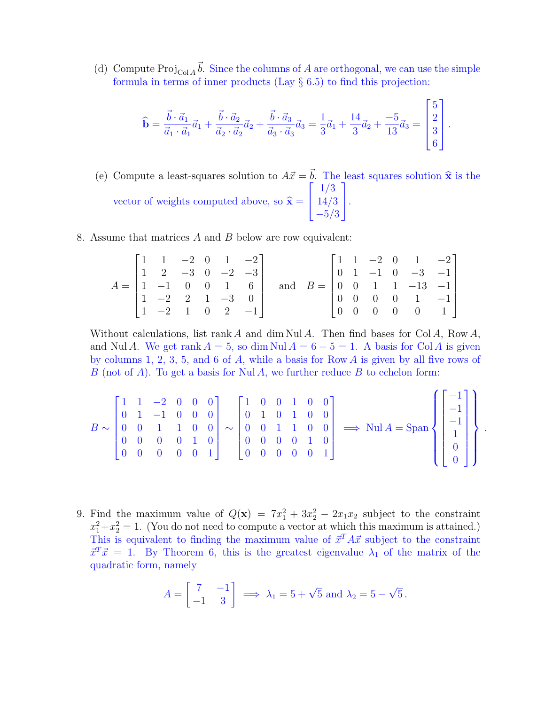(d) Compute  $\text{Proj}_{\text{Col }A} \vec{b}$ . Since the columns of A are orthogonal, we can use the simple formula in terms of inner products (Lay  $\S$  6.5) to find this projection:

$$
\hat{\mathbf{b}} = \frac{\vec{b} \cdot \vec{a}_1}{\vec{a}_1 \cdot \vec{a}_1} \vec{a}_1 + \frac{\vec{b} \cdot \vec{a}_2}{\vec{a}_2 \cdot \vec{a}_2} \vec{a}_2 + \frac{\vec{b} \cdot \vec{a}_3}{\vec{a}_3 \cdot \vec{a}_3} \vec{a}_3 = \frac{1}{3} \vec{a}_1 + \frac{14}{3} \vec{a}_2 + \frac{-5}{13} \vec{a}_3 = \begin{bmatrix} 5 \\ 2 \\ 3 \\ 6 \end{bmatrix}.
$$

- (e) Compute a least-squares solution to  $A\vec{x} = \vec{b}$ . The least squares solution  $\hat{x}$  is the vector of weights computed above, so  $\hat{\mathbf{x}} =$  $\sqrt{ }$  $\mathbf{I}$ 1/3 14/3  $-5/3$ 1  $\vert \cdot$
- 8. Assume that matrices  $A$  and  $B$  below are row equivalent:

$$
A = \begin{bmatrix} 1 & 1 & -2 & 0 & 1 & -2 \\ 1 & 2 & -3 & 0 & -2 & -3 \\ 1 & -1 & 0 & 0 & 1 & 6 \\ 1 & -2 & 2 & 1 & -3 & 0 \\ 1 & -2 & 1 & 0 & 2 & -1 \end{bmatrix} \text{ and } B = \begin{bmatrix} 1 & 1 & -2 & 0 & 1 & -2 \\ 0 & 1 & -1 & 0 & -3 & -1 \\ 0 & 0 & 1 & 1 & -13 & -1 \\ 0 & 0 & 0 & 0 & 1 & -1 \\ 0 & 0 & 0 & 0 & 0 & 1 \end{bmatrix}
$$

Without calculations, list rank A and dim Nul A. Then find bases for Col A, Row A, and Nul A. We get rank  $A = 5$ , so dim Nul  $A = 6 - 5 = 1$ . A basis for Col A is given by columns 1, 2, 3, 5, and 6 of  $A$ , while a basis for Row  $A$  is given by all five rows of B (not of A). To get a basis for Nul A, we further reduce B to echelon form:

$$
B \sim \begin{bmatrix} 1 & 1 & -2 & 0 & 0 & 0 \\ 0 & 1 & -1 & 0 & 0 & 0 \\ 0 & 0 & 1 & 1 & 0 & 0 \\ 0 & 0 & 0 & 0 & 1 & 0 \\ 0 & 0 & 0 & 0 & 0 & 1 \end{bmatrix} \sim \begin{bmatrix} 1 & 0 & 0 & 1 & 0 & 0 \\ 0 & 1 & 0 & 1 & 0 & 0 \\ 0 & 0 & 1 & 1 & 0 & 0 \\ 0 & 0 & 0 & 0 & 1 & 0 \\ 0 & 0 & 0 & 0 & 0 & 1 \end{bmatrix} \implies \text{Nul } A = \text{Span} \left\{ \begin{bmatrix} -1 \\ -1 \\ -1 \\ 1 \\ 0 \\ 0 \end{bmatrix} \right\}.
$$

9. Find the maximum value of  $Q(\mathbf{x}) = 7x_1^2 + 3x_2^2 - 2x_1x_2$  subject to the constraint  $x_1^2 + x_2^2 = 1$ . (You do not need to compute a vector at which this maximum is attained.) This is equivalent to finding the maximum value of  $\vec{x}^T A \vec{x}$  subject to the constraint  $\vec{x}^T \vec{x} = 1$ . By Theorem 6, this is the greatest eigenvalue  $\lambda_1$  of the matrix of the quadratic form, namely

$$
A = \begin{bmatrix} 7 & -1 \\ -1 & 3 \end{bmatrix} \implies \lambda_1 = 5 + \sqrt{5} \text{ and } \lambda_2 = 5 - \sqrt{5}.
$$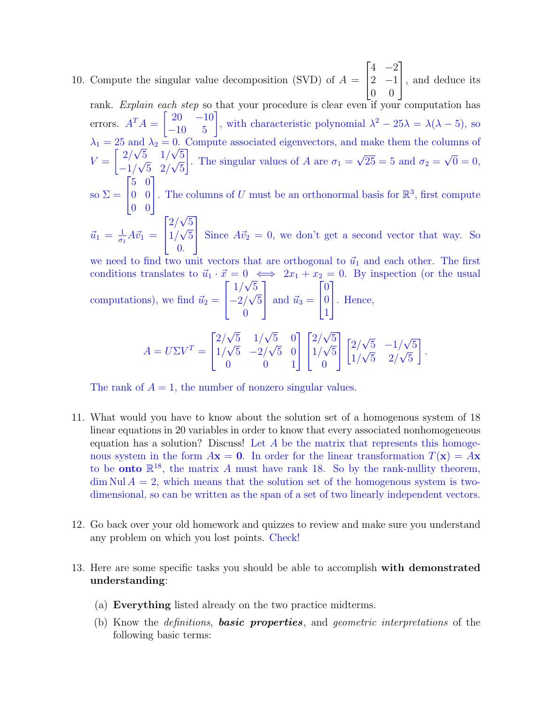10. Compute the singular value decomposition (SVD) of  $A =$  $\sqrt{ }$  $\vert$  $4 -2$ 2  $-1$ 0 0 1 , and deduce its rank. Explain each step so that your procedure is clear even if your computation has

errors.  $A^T A = \begin{bmatrix} 20 & -10 \\ -10 & 5 \end{bmatrix}$ , with characteristic polynomial  $\lambda^2 - 25\lambda = \lambda(\lambda - 5)$ , so  $\lambda_1 = 25$  and  $\lambda_2 = 0$ . Compute associated eigenvectors, and make them the columns of  $V =$  $\lceil 2/\rceil$ no<br>∖ 5 1/  $\mathsf{U}$ ; 5  $-1/$ ∕ 9<br>∕ 5 2/  $\mathsf{v}_j$ 5 1 . The singular values of A are  $\sigma_1 =$ √  $25 = 5$  and  $\sigma_2 =$ √  $0 = 0,$ so  $\Sigma =$  $\sqrt{ }$  $\mathbf{I}$ 5 0 0 0 0 0 1 . The columns of  $U$  must be an orthonormal basis for  $\mathbb{R}^3$ , first compute  $\vec{u}_1 = \frac{1}{\sigma_1}$  $\frac{1}{\sigma_1}A\vec{v}_1 =$  $\Gamma$  $\mathbf{I}$  $2/\sqrt{5}$ √ 1/  $\mathbf{v}_{j}$ 5 0. 1 Since  $A\vec{v}_2 = 0$ , we don't get a second vector that way. So we need to find two unit vectors that are orthogonal to  $\vec{u}_1$  and each other. The first conditions translates to  $\vec{u}_1 \cdot \vec{x} = 0 \iff 2x_1 + x_2 = 0$ . By inspection (or the usual computations), we find  $\vec{u}_2 =$  $\lceil$  $\mathbf{I}$ 1/  $^{\mathsf{U}}$  , 5  $-2/$ ∕ ∪<br>∕ 5  $\overline{0}$ 1 and  $\vec{u}_3 =$  $\lceil$  $\mathbf{I}$  $\overline{0}$ 0 1 1 . Hence,

$$
A = U\Sigma V^{T} = \begin{bmatrix} 2/\sqrt{5} & 1/\sqrt{5} & 0 \\ 1/\sqrt{5} & -2/\sqrt{5} & 0 \\ 0 & 0 & 1 \end{bmatrix} \begin{bmatrix} 2/\sqrt{5} \\ 1/\sqrt{5} \\ 0 \end{bmatrix} \begin{bmatrix} 2/\sqrt{5} & -1/\sqrt{5} \\ 1/\sqrt{5} & 2/\sqrt{5} \end{bmatrix}.
$$

The rank of  $A = 1$ , the number of nonzero singular values.

- 11. What would you have to know about the solution set of a homogenous system of 18 linear equations in 20 variables in order to know that every associated nonhomogeneous equation has a solution? Discuss! Let  $A$  be the matrix that represents this homogenous system in the form  $A\mathbf{x} = \mathbf{0}$ . In order for the linear transformation  $T(\mathbf{x}) = A\mathbf{x}$ to be **onto**  $\mathbb{R}^{18}$ , the matrix A must have rank 18. So by the rank-nullity theorem,  $\dim \text{Nul } A = 2$ , which means that the solution set of the homogenous system is twodimensional, so can be written as the span of a set of two linearly independent vectors.
- 12. Go back over your old homework and quizzes to review and make sure you understand any problem on which you lost points. Check!
- 13. Here are some specific tasks you should be able to accomplish with demonstrated understanding:
	- (a) Everything listed already on the two practice midterms.
	- (b) Know the *definitions*, **basic properties**, and *geometric interpretations* of the following basic terms: